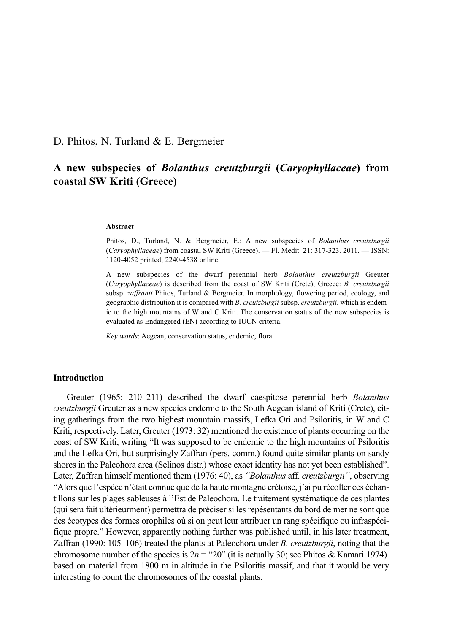# D. Phitos, N. Turland & E. Bergmeier

# **A new subspecies of** *Bolanthus creutzburgii* **(***Caryophyllaceae***) from coastal SW Kriti (Greece)**

#### **Abstract**

Phitos, D., Turland, N. & Bergmeier, E.: A new subspecies of *Bolanthus creutzburgii* (*Caryophyllaceae*) from coastal SW Kriti (Greece). — Fl. Medit. 21: 317-323. 2011. — ISSN: 1120-4052 printed, 2240-4538 online.

A new subspecies of the dwarf perennial herb *Bolanthus creutzburgii* Greuter (*Caryophyllaceae*) is described from the coast of SW Kriti (Crete), Greece: *B. creutzburgii* subsp. *zaffranii* Phitos, Turland & Bergmeier. In morphology, flowering period, ecology, and geographic distribution it is compared with *B. creutzburgii* subsp. *creutzburgii*, which is endemic to the high mountains of W and C Kriti. The conservation status of the new subspecies is evaluated as Endangered (EN) according to IUCN criteria.

*Key words*: Aegean, conservation status, endemic, flora.

# **Introduction**

Greuter (1965: 210–211) described the dwarf caespitose perennial herb *Bolanthus creutzburgii* Greuter as a new species endemic to the South Aegean island of Kriti (Crete), citing gatherings from the two highest mountain massifs, Lefka Ori and Psiloritis, in W and C Kriti, respectively. Later, Greuter (1973: 32) mentioned the existence of plants occurring on the coast of SW Kriti, writing "It was supposed to be endemic to the high mountains of Psiloritis and the Lefka Ori, but surprisingly Zaffran (pers. comm.) found quite similar plants on sandy shores in the Paleohora area (Selinos distr.) whose exact identity has not yet been established". Later, Zaffran himself mentioned them (1976: 40), as *"Bolanthus* aff. *creutzburgii"*, observing "Alors que l'espèce n'était connue que de la haute montagne crétoise, j'ai pu récolter ces échantillons sur les plages sableuses à l'Est de Paleochora. Le traitement systématique de ces plantes (qui sera fait ultérieurment) permettra de préciser si les repésentants du bord de mer ne sont que des écotypes des formes orophiles où si on peut leur attribuer un rang spécifique ou infraspécifique propre." However, apparently nothing further was published until, in his later treatment, Zaffran (1990: 105–106) treated the plants at Paleochora under *B. creutzburgii*, noting that the chromosome number of the species is  $2n = "20"$  (it is actually 30; see Phitos & Kamari 1974). based on material from 1800 m in altitude in the Psiloritis massif, and that it would be very interesting to count the chromosomes of the coastal plants.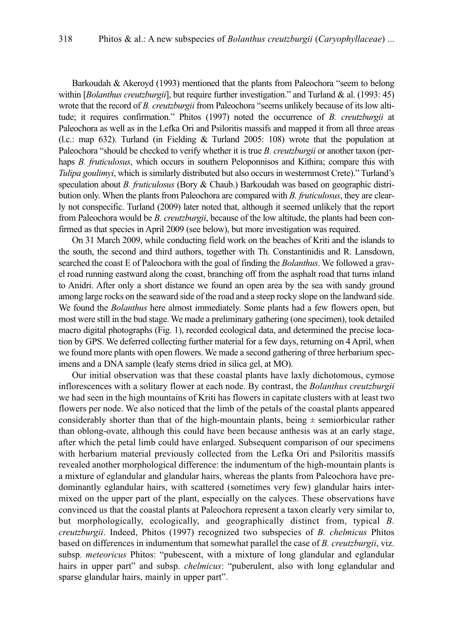Barkoudah & Akeroyd (1993) mentioned that the plants from Paleochora "seem to belong within [*Bolanthus creutzburgii*], but require further investigation." and Turland & al. (1993: 45) wrote that the record of *B. creutzburgii* from Paleochora "seems unlikely because of its low altitude; it requires confirmation." Phitos (1997) noted the occurrence of *B. creutzburgii* at Paleochora as well as in the Lefka Ori and Psiloritis massifs and mapped it from all three areas (l.c.: map 632). Turland (in Fielding & Turland 2005: 108) wrote that the population at Paleochora "should be checked to verify whether it is true *B. creutzburgii* or another taxon (perhaps *B. fruticulosus*, which occurs in southern Peloponnisos and Kithira; compare this with *Tulipa goulimyi*, which is similarly distributed but also occurs in westernmost Crete)." Turland's speculation about *B. fruticulosus* (Bory & Chaub.) Barkoudah was based on geographic distribution only. When the plants from Paleochora are compared with *B. fruticulosus*, they are clearly not conspecific. Turland (2009) later noted that, although it seemed unlikely that the report from Paleochora would be *B. creutzburgii*, because of the low altitude, the plants had been confirmed as that species in April 2009 (see below), but more investigation was required.

On 31 March 2009, while conducting field work on the beaches of Kriti and the islands to the south, the second and third authors, together with Th. Constantinidis and R. Lansdown, searched the coast E of Paleochora with the goal of finding the *Bolanthus*. We followed a gravel road running eastward along the coast, branching off from the asphalt road that turns inland to Anidri. After only a short distance we found an open area by the sea with sandy ground among large rocks on the seaward side of the road and a steep rocky slope on the landward side. We found the *Bolanthus* here almost immediately. Some plants had a few flowers open, but most were still in the bud stage. We made a preliminary gathering (one specimen), took detailed macro digital photographs (Fig. 1), recorded ecological data, and determined the precise location by GPS. We deferred collecting further material for a few days, returning on 4 April, when we found more plants with open flowers. We made a second gathering of three herbarium specimens and a DNA sample (leafy stems dried in silica gel, at MO).

Our initial observation was that these coastal plants have laxly dichotomous, cymose inflorescences with a solitary flower at each node. By contrast, the *Bolanthus creutzburgii* we had seen in the high mountains of Kriti has flowers in capitate clusters with at least two flowers per node. We also noticed that the limb of the petals of the coastal plants appeared considerably shorter than that of the high-mountain plants, being  $\pm$  semiorbicular rather than oblong-ovate, although this could have been because anthesis was at an early stage, after which the petal limb could have enlarged. Subsequent comparison of our specimens with herbarium material previously collected from the Lefka Ori and Psiloritis massifs revealed another morphological difference: the indumentum of the high-mountain plants is a mixture of eglandular and glandular hairs, whereas the plants from Paleochora have predominantly eglandular hairs, with scattered (sometimes very few) glandular hairs intermixed on the upper part of the plant, especially on the calyces. These observations have convinced us that the coastal plants at Paleochora represent a taxon clearly very similar to, but morphologically, ecologically, and geographically distinct from, typical *B. creutzburgii*. Indeed, Phitos (1997) recognized two subspecies of *B. chelmicus* Phitos based on differences in indumentum that somewhat parallel the case of *B. creutzburgii*, viz. subsp. *meteoricus* Phitos: "pubescent, with a mixture of long glandular and eglandular hairs in upper part" and subsp. *chelmicus*: "puberulent, also with long eglandular and sparse glandular hairs, mainly in upper part".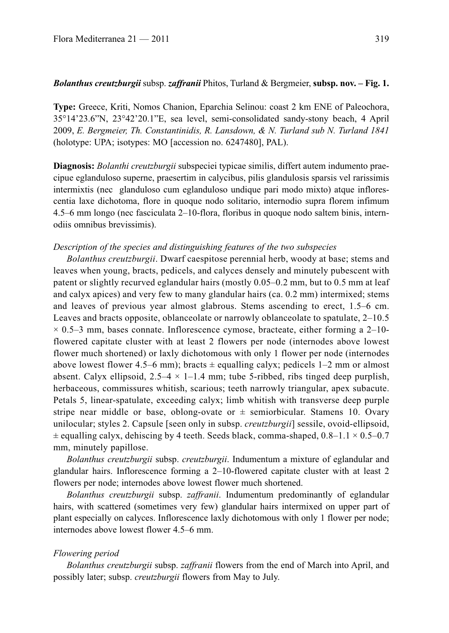# *Bolanthus creutzburgii* subsp. *zaffranii* Phitos, Turland & Bergmeier, **subsp. nov. – Fig. 1.**

**Type:** Greece, Kriti, Nomos Chanion, Eparchia Selinou: coast 2 km ENE of Paleochora, 35°14'23.6"N, 23°42'20.1"E, sea level, semi-consolidated sandy-stony beach, 4 April 2009, *E. Bergmeier, Th. Constantinidis, R. Lansdown, & N. Turland sub N. Turland 1841* (holotype: UPA; isotypes: MO [accession no. 6247480], PAL).

**Diagnosis:** *Bolanthi creutzburgii* subspeciei typicae similis, differt autem indumento praecipue eglanduloso superne, praesertim in calycibus, pilis glandulosis sparsis vel rarissimis intermixtis (nec glanduloso cum eglanduloso undique pari modo mixto) atque inflorescentia laxe dichotoma, flore in quoque nodo solitario, internodio supra florem infimum 4.5–6 mm longo (nec fasciculata 2–10-flora, floribus in quoque nodo saltem binis, internodiis omnibus brevissimis).

### *Description of the species and distinguishing features of the two subspecies*

*Bolanthus creutzburgii*. Dwarf caespitose perennial herb, woody at base; stems and leaves when young, bracts, pedicels, and calyces densely and minutely pubescent with patent or slightly recurved eglandular hairs (mostly 0.05–0.2 mm, but to 0.5 mm at leaf and calyx apices) and very few to many glandular hairs (ca. 0.2 mm) intermixed; stems and leaves of previous year almost glabrous. Stems ascending to erect, 1.5–6 cm. Leaves and bracts opposite, oblanceolate or narrowly oblanceolate to spatulate, 2–10.5  $\times$  0.5–3 mm, bases connate. Inflorescence cymose, bracteate, either forming a 2–10flowered capitate cluster with at least 2 flowers per node (internodes above lowest flower much shortened) or laxly dichotomous with only 1 flower per node (internodes above lowest flower 4.5–6 mm); bracts  $\pm$  equalling calyx; pedicels 1–2 mm or almost absent. Calyx ellipsoid,  $2.5-4 \times 1-1.4$  mm; tube 5-ribbed, ribs tinged deep purplish, herbaceous, commissures whitish, scarious; teeth narrowly triangular, apex subacute. Petals 5, linear-spatulate, exceeding calyx; limb whitish with transverse deep purple stripe near middle or base, oblong-ovate or  $\pm$  semiorbicular. Stamens 10. Ovary unilocular; styles 2. Capsule [seen only in subsp. *creutzburgii*] sessile, ovoid-ellipsoid,  $\pm$  equalling calyx, dehiscing by 4 teeth. Seeds black, comma-shaped, 0.8–1.1  $\times$  0.5–0.7 mm, minutely papillose.

*Bolanthus creutzburgii* subsp. *creutzburgii*. Indumentum a mixture of eglandular and glandular hairs. Inflorescence forming a 2–10-flowered capitate cluster with at least 2 flowers per node; internodes above lowest flower much shortened.

*Bolanthus creutzburgii* subsp. *zaffranii*. Indumentum predominantly of eglandular hairs, with scattered (sometimes very few) glandular hairs intermixed on upper part of plant especially on calyces. Inflorescence laxly dichotomous with only 1 flower per node; internodes above lowest flower 4.5–6 mm.

# *Flowering period*

*Bolanthus creutzburgii* subsp. *zaffranii* flowers from the end of March into April, and possibly later; subsp. *creutzburgii* flowers from May to July.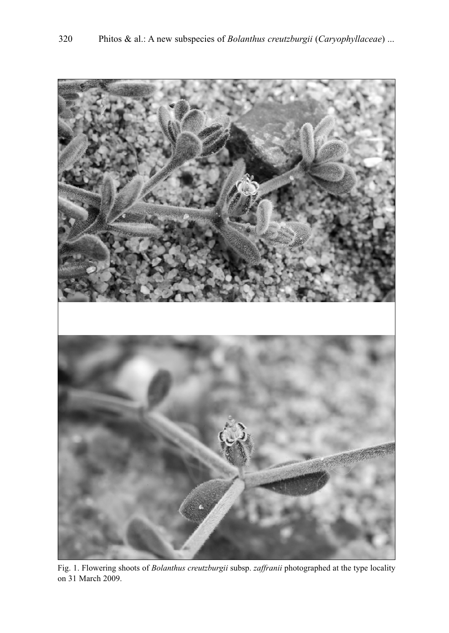

Fig. 1. Flowering shoots of *Bolanthus creutzburgii* subsp. *zaffranii* photographed at the type locality on 31 March 2009.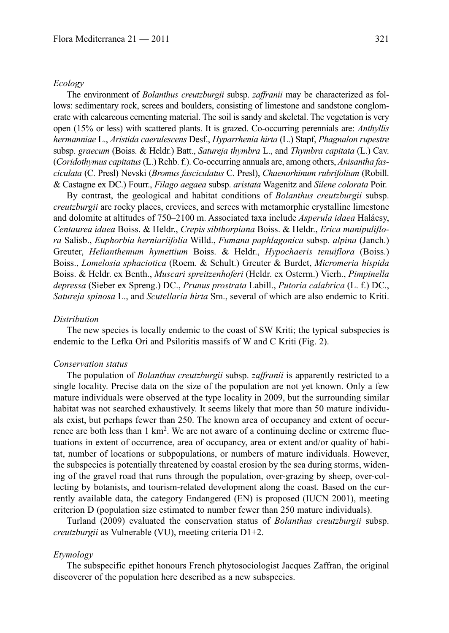#### *Ecology*

The environment of *Bolanthus creutzburgii* subsp. *zaffranii* may be characterized as follows: sedimentary rock, screes and boulders, consisting of limestone and sandstone conglomerate with calcareous cementing material. The soil is sandy and skeletal. The vegetation is very open (15% or less) with scattered plants. It is grazed. Co-occurring perennials are: *Anthyllis hermanniae* L., *Aristida caerulescens* Desf., *Hyparrhenia hirta* (L.) Stapf, *Phagnalon rupestre* subsp. *graecum* (Boiss. & Heldr.) Batt., *Satureja thymbra* L., and *Thymbra capitata* (L.) Cav. (*Coridothymus capitatus*(L.) Rchb. f.). Co-occurring annuals are, among others, *Anisantha fasciculata* (C. Presl) Nevski (*Bromus fasciculatus* C. Presl), *Chaenorhinum rubrifolium* (Robill. & Castagne ex DC.) Fourr., *Filago aegaea* subsp. *aristata* Wagenitz and *Silene colorata* Poir.

By contrast, the geological and habitat conditions of *Bolanthus creutzburgii* subsp. *creutzburgii* are rocky places, crevices, and screes with metamorphic crystalline limestone and dolomite at altitudes of 750–2100 m. Associated taxa include *Asperula idaea* Halácsy, *Centaurea idaea* Boiss. & Heldr., *Crepis sibthorpiana* Boiss. & Heldr., *Erica manipuliflora* Salisb., *Euphorbia herniariifolia* Willd., *Fumana paphlagonica* subsp. *alpina* (Janch.) Greuter, *Helianthemum hymettium* Boiss. & Heldr., *Hypochaeris tenuiflora* (Boiss.) Boiss., *Lomelosia sphaciotica* (Roem. & Schult.) Greuter & Burdet, *Micromeria hispida* Boiss. & Heldr. ex Benth., *Muscari spreitzenhoferi* (Heldr. ex Osterm.) Vierh., *Pimpinella depressa* (Sieber ex Spreng.) DC., *Prunus prostrata* Labill., *Putoria calabrica* (L. f.) DC., *Satureja spinosa* L., and *Scutellaria hirta* Sm., several of which are also endemic to Kriti.

# *Distribution*

The new species is locally endemic to the coast of SW Kriti; the typical subspecies is endemic to the Lefka Ori and Psiloritis massifs of W and C Kriti (Fig. 2).

# *Conservation status*

The population of *Bolanthus creutzburgii* subsp. *zaffranii* is apparently restricted to a single locality. Precise data on the size of the population are not yet known. Only a few mature individuals were observed at the type locality in 2009, but the surrounding similar habitat was not searched exhaustively. It seems likely that more than 50 mature individuals exist, but perhaps fewer than 250. The known area of occupancy and extent of occurrence are both less than 1 km2. We are not aware of a continuing decline or extreme fluctuations in extent of occurrence, area of occupancy, area or extent and/or quality of habitat, number of locations or subpopulations, or numbers of mature individuals. However, the subspecies is potentially threatened by coastal erosion by the sea during storms, widening of the gravel road that runs through the population, over-grazing by sheep, over-collecting by botanists, and tourism-related development along the coast. Based on the currently available data, the category Endangered (EN) is proposed (IUCN 2001), meeting criterion D (population size estimated to number fewer than 250 mature individuals).

Turland (2009) evaluated the conservation status of *Bolanthus creutzburgii* subsp. *creutzburgii* as Vulnerable (VU), meeting criteria D1+2.

### *Etymology*

The subspecific epithet honours French phytosociologist Jacques Zaffran, the original discoverer of the population here described as a new subspecies.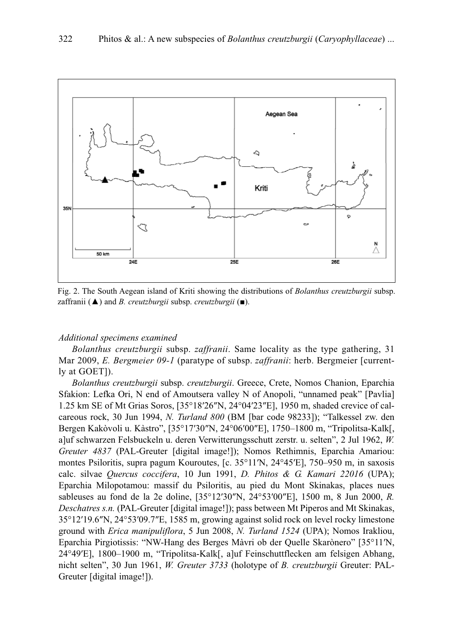

Fig. 2. The South Aegean island of Kriti showing the distributions of *Bolanthus creutzburgii* subsp. zaffranii (▲) and *B. creutzburgii* subsp. *creutzburgii* (■).

# *Additional specimens examined*

*Bolanthus creutzburgii* subsp. *zaffranii*. Same locality as the type gathering, 31 Mar 2009, *E. Bergmeier 09-1* (paratype of subsp. *zaffranii*: herb. Bergmeier [currently at GOET]).

*Bolanthus creutzburgii* subsp. *creutzburgii*. Greece, Crete, Nomos Chanion, Eparchia Sfakion: Lefka Ori, N end of Amoutsera valley N of Anopoli, "unnamed peak" [Pavlia] 1.25 km SE of Mt Grias Soros, [35°18′26″N, 24°04′23″E], 1950 m, shaded crevice of calcareous rock, 30 Jun 1994, *N. Turland 800* (BM [bar code 98233]); "Talkessel zw. den Bergen Kakòvoli u. Kàstro", [35°17′30″N, 24°06′00″E], 1750–1800 m, "Tripolitsa-Kalk[, a]uf schwarzen Felsbuckeln u. deren Verwitterungsschutt zerstr. u. selten", 2 Jul 1962, *W. Greuter 4837* (PAL-Greuter [digital image!]); Nomos Rethimnis, Eparchia Amariou: montes Psiloritis, supra pagum Kouroutes, [c. 35°11′N, 24°45′E], 750–950 m, in saxosis calc. silvae *Quercus coccifera*, 10 Jun 1991, *D. Phitos & G. Kamari 22016* (UPA); Eparchia Milopotamou: massif du Psiloritis, au pied du Mont Skinakas, places nues sableuses au fond de la 2e doline, [35°12′30″N, 24°53′00″E], 1500 m, 8 Jun 2000, *R. Deschatres s.n.* (PAL-Greuter [digital image!]); pass between Mt Piperos and Mt Skinakas, 35°12′19.6″N, 24°53′09.7″E, 1585 m, growing against solid rock on level rocky limestone ground with *Erica manipuliflora*, 5 Jun 2008, *N. Turland 1524* (UPA); Nomos Irakliou, Eparchia Pirgiotissis: "NW-Hang des Berges Màvri ob der Quelle Skarònero" [35°11′N, 24°49′E], 1800–1900 m, "Tripolitsa-Kalk[, a]uf Feinschuttflecken am felsigen Abhang, nicht selten", 30 Jun 1961, *W. Greuter 3733* (holotype of *B. creutzburgii* Greuter: PAL-Greuter [digital image!]).